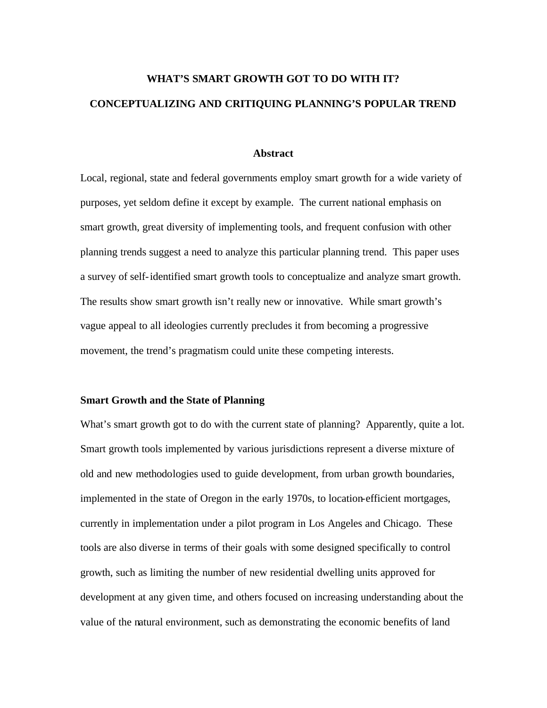# **WHAT'S SMART GROWTH GOT TO DO WITH IT? CONCEPTUALIZING AND CRITIQUING PLANNING'S POPULAR TREND**

#### **Abstract**

Local, regional, state and federal governments employ smart growth for a wide variety of purposes, yet seldom define it except by example. The current national emphasis on smart growth, great diversity of implementing tools, and frequent confusion with other planning trends suggest a need to analyze this particular planning trend. This paper uses a survey of self-identified smart growth tools to conceptualize and analyze smart growth. The results show smart growth isn't really new or innovative. While smart growth's vague appeal to all ideologies currently precludes it from becoming a progressive movement, the trend's pragmatism could unite these competing interests.

# **Smart Growth and the State of Planning**

What's smart growth got to do with the current state of planning? Apparently, quite a lot. Smart growth tools implemented by various jurisdictions represent a diverse mixture of old and new methodologies used to guide development, from urban growth boundaries, implemented in the state of Oregon in the early 1970s, to location-efficient mortgages, currently in implementation under a pilot program in Los Angeles and Chicago. These tools are also diverse in terms of their goals with some designed specifically to control growth, such as limiting the number of new residential dwelling units approved for development at any given time, and others focused on increasing understanding about the value of the natural environment, such as demonstrating the economic benefits of land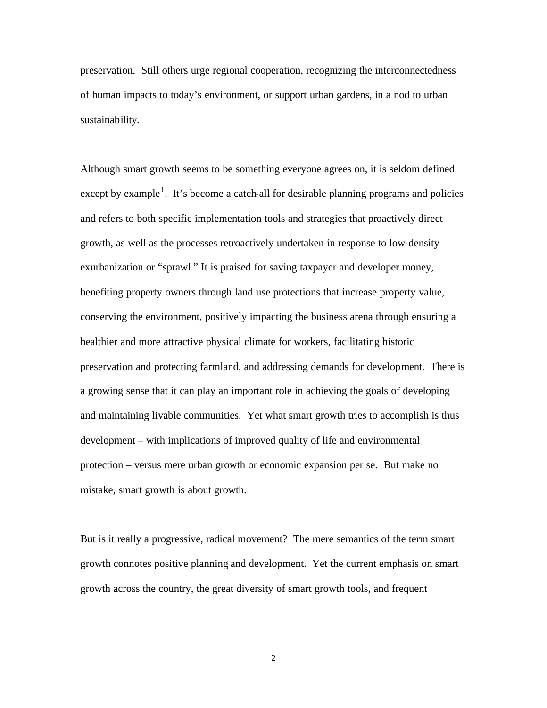preservation. Still others urge regional cooperation, recognizing the interconnectedness of human impacts to today's environment, or support urban gardens, in a nod to urban sustainability.

Although smart growth seems to be something everyone agrees on, it is seldom defined except by example<sup>1</sup>. It's become a catch-all for desirable planning programs and policies and refers to both specific implementation tools and strategies that proactively direct growth, as well as the processes retroactively undertaken in response to low-density exurbanization or "sprawl." It is praised for saving taxpayer and developer money, benefiting property owners through land use protections that increase property value, conserving the environment, positively impacting the business arena through ensuring a healthier and more attractive physical climate for workers, facilitating historic preservation and protecting farmland, and addressing demands for development. There is a growing sense that it can play an important role in achieving the goals of developing and maintaining livable communities. Yet what smart growth tries to accomplish is thus development – with implications of improved quality of life and environmental protection – versus mere urban growth or economic expansion per se. But make no mistake, smart growth is about growth.

But is it really a progressive, radical movement? The mere semantics of the term smart growth connotes positive planning and development. Yet the current emphasis on smart growth across the country, the great diversity of smart growth tools, and frequent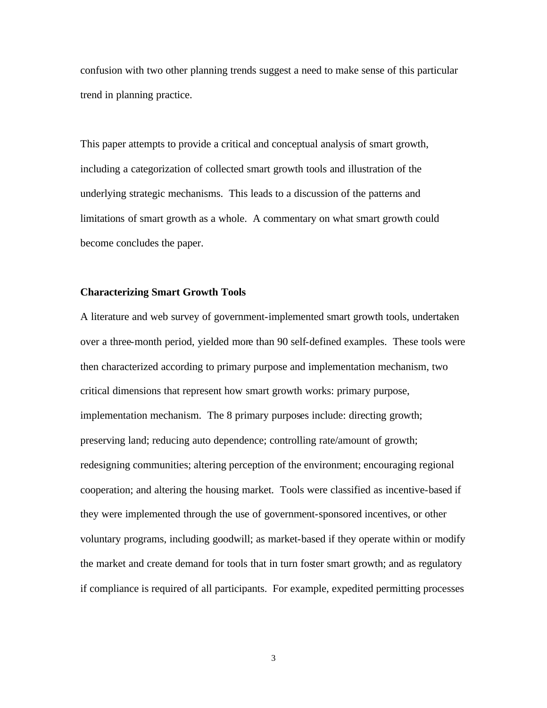confusion with two other planning trends suggest a need to make sense of this particular trend in planning practice.

This paper attempts to provide a critical and conceptual analysis of smart growth, including a categorization of collected smart growth tools and illustration of the underlying strategic mechanisms. This leads to a discussion of the patterns and limitations of smart growth as a whole. A commentary on what smart growth could become concludes the paper.

## **Characterizing Smart Growth Tools**

A literature and web survey of government-implemented smart growth tools, undertaken over a three-month period, yielded more than 90 self-defined examples. These tools were then characterized according to primary purpose and implementation mechanism, two critical dimensions that represent how smart growth works: primary purpose, implementation mechanism. The 8 primary purposes include: directing growth; preserving land; reducing auto dependence; controlling rate/amount of growth; redesigning communities; altering perception of the environment; encouraging regional cooperation; and altering the housing market. Tools were classified as incentive-based if they were implemented through the use of government-sponsored incentives, or other voluntary programs, including goodwill; as market-based if they operate within or modify the market and create demand for tools that in turn foster smart growth; and as regulatory if compliance is required of all participants. For example, expedited permitting processes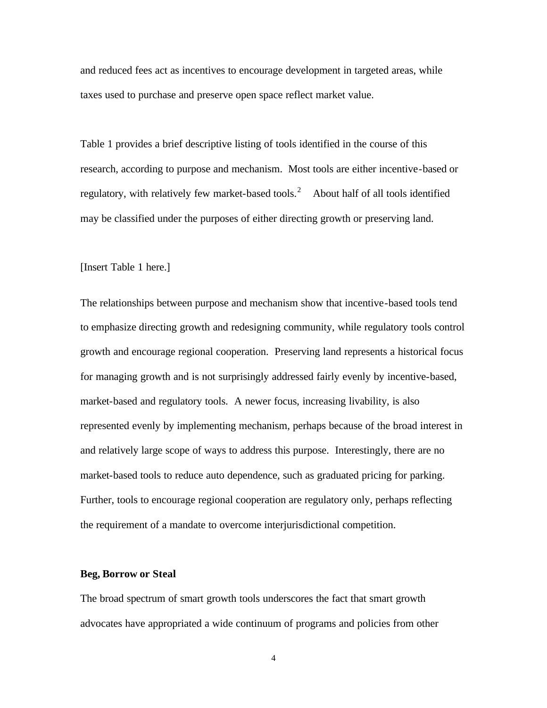and reduced fees act as incentives to encourage development in targeted areas, while taxes used to purchase and preserve open space reflect market value.

Table 1 provides a brief descriptive listing of tools identified in the course of this research, according to purpose and mechanism. Most tools are either incentive-based or regulatory, with relatively few market-based tools.<sup>2</sup> About half of all tools identified may be classified under the purposes of either directing growth or preserving land.

## [Insert Table 1 here.]

The relationships between purpose and mechanism show that incentive-based tools tend to emphasize directing growth and redesigning community, while regulatory tools control growth and encourage regional cooperation. Preserving land represents a historical focus for managing growth and is not surprisingly addressed fairly evenly by incentive-based, market-based and regulatory tools. A newer focus, increasing livability, is also represented evenly by implementing mechanism, perhaps because of the broad interest in and relatively large scope of ways to address this purpose. Interestingly, there are no market-based tools to reduce auto dependence, such as graduated pricing for parking. Further, tools to encourage regional cooperation are regulatory only, perhaps reflecting the requirement of a mandate to overcome interjurisdictional competition.

#### **Beg, Borrow or Steal**

The broad spectrum of smart growth tools underscores the fact that smart growth advocates have appropriated a wide continuum of programs and policies from other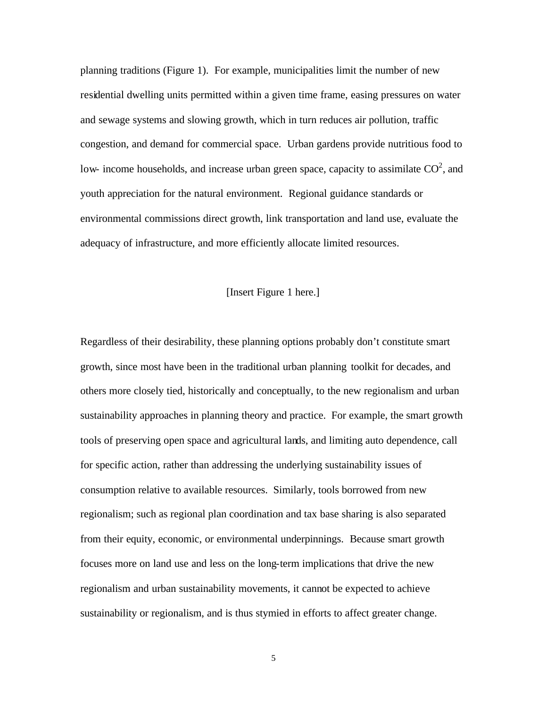planning traditions (Figure 1). For example, municipalities limit the number of new residential dwelling units permitted within a given time frame, easing pressures on water and sewage systems and slowing growth, which in turn reduces air pollution, traffic congestion, and demand for commercial space. Urban gardens provide nutritious food to low- income households, and increase urban green space, capacity to assimilate  $CO^2$ , and youth appreciation for the natural environment. Regional guidance standards or environmental commissions direct growth, link transportation and land use, evaluate the adequacy of infrastructure, and more efficiently allocate limited resources.

# [Insert Figure 1 here.]

Regardless of their desirability, these planning options probably don't constitute smart growth, since most have been in the traditional urban planning toolkit for decades, and others more closely tied, historically and conceptually, to the new regionalism and urban sustainability approaches in planning theory and practice. For example, the smart growth tools of preserving open space and agricultural lands, and limiting auto dependence, call for specific action, rather than addressing the underlying sustainability issues of consumption relative to available resources. Similarly, tools borrowed from new regionalism; such as regional plan coordination and tax base sharing is also separated from their equity, economic, or environmental underpinnings. Because smart growth focuses more on land use and less on the long-term implications that drive the new regionalism and urban sustainability movements, it cannot be expected to achieve sustainability or regionalism, and is thus stymied in efforts to affect greater change.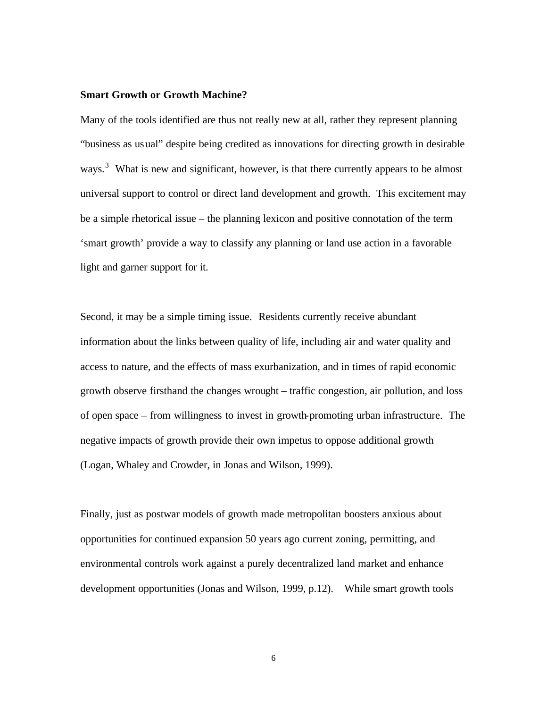#### **Smart Growth or Growth Machine?**

Many of the tools identified are thus not really new at all, rather they represent planning "business as usual" despite being credited as innovations for directing growth in desirable ways.<sup>3</sup> What is new and significant, however, is that there currently appears to be almost universal support to control or direct land development and growth. This excitement may be a simple rhetorical issue – the planning lexicon and positive connotation of the term 'smart growth' provide a way to classify any planning or land use action in a favorable light and garner support for it.

Second, it may be a simple timing issue. Residents currently receive abundant information about the links between quality of life, including air and water quality and access to nature, and the effects of mass exurbanization, and in times of rapid economic growth observe firsthand the changes wrought – traffic congestion, air pollution, and loss of open space – from willingness to invest in growth-promoting urban infrastructure. The negative impacts of growth provide their own impetus to oppose additional growth (Logan, Whaley and Crowder, in Jonas and Wilson, 1999).

Finally, just as postwar models of growth made metropolitan boosters anxious about opportunities for continued expansion 50 years ago current zoning, permitting, and environmental controls work against a purely decentralized land market and enhance development opportunities (Jonas and Wilson, 1999, p.12). While smart growth tools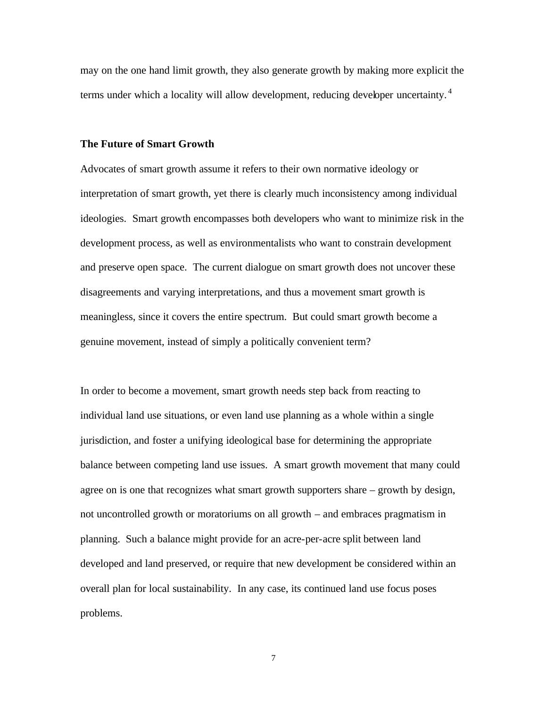may on the one hand limit growth, they also generate growth by making more explicit the terms under which a locality will allow development, reducing developer uncertainty.<sup>4</sup>

#### **The Future of Smart Growth**

Advocates of smart growth assume it refers to their own normative ideology or interpretation of smart growth, yet there is clearly much inconsistency among individual ideologies. Smart growth encompasses both developers who want to minimize risk in the development process, as well as environmentalists who want to constrain development and preserve open space. The current dialogue on smart growth does not uncover these disagreements and varying interpretations, and thus a movement smart growth is meaningless, since it covers the entire spectrum. But could smart growth become a genuine movement, instead of simply a politically convenient term?

In order to become a movement, smart growth needs step back from reacting to individual land use situations, or even land use planning as a whole within a single jurisdiction, and foster a unifying ideological base for determining the appropriate balance between competing land use issues. A smart growth movement that many could agree on is one that recognizes what smart growth supporters share – growth by design, not uncontrolled growth or moratoriums on all growth – and embraces pragmatism in planning. Such a balance might provide for an acre-per-acre split between land developed and land preserved, or require that new development be considered within an overall plan for local sustainability. In any case, its continued land use focus poses problems.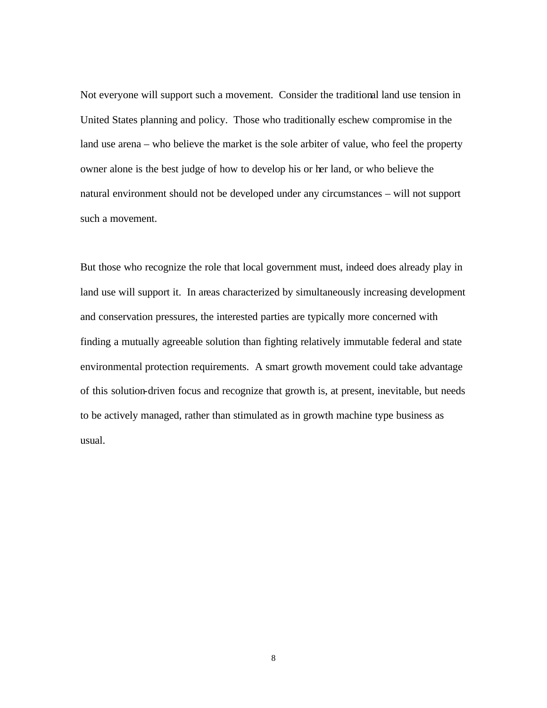Not everyone will support such a movement. Consider the traditional land use tension in United States planning and policy. Those who traditionally eschew compromise in the land use arena – who believe the market is the sole arbiter of value, who feel the property owner alone is the best judge of how to develop his or her land, or who believe the natural environment should not be developed under any circumstances – will not support such a movement.

But those who recognize the role that local government must, indeed does already play in land use will support it. In areas characterized by simultaneously increasing development and conservation pressures, the interested parties are typically more concerned with finding a mutually agreeable solution than fighting relatively immutable federal and state environmental protection requirements. A smart growth movement could take advantage of this solution-driven focus and recognize that growth is, at present, inevitable, but needs to be actively managed, rather than stimulated as in growth machine type business as usual.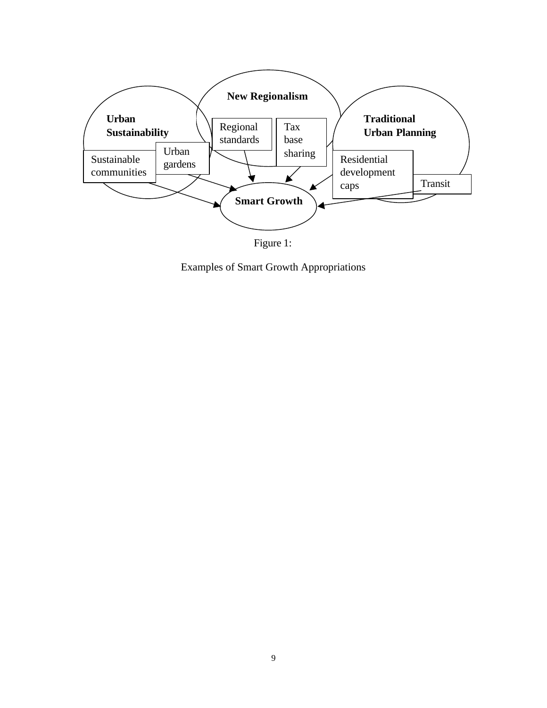

Figure 1:

Examples of Smart Growth Appropriations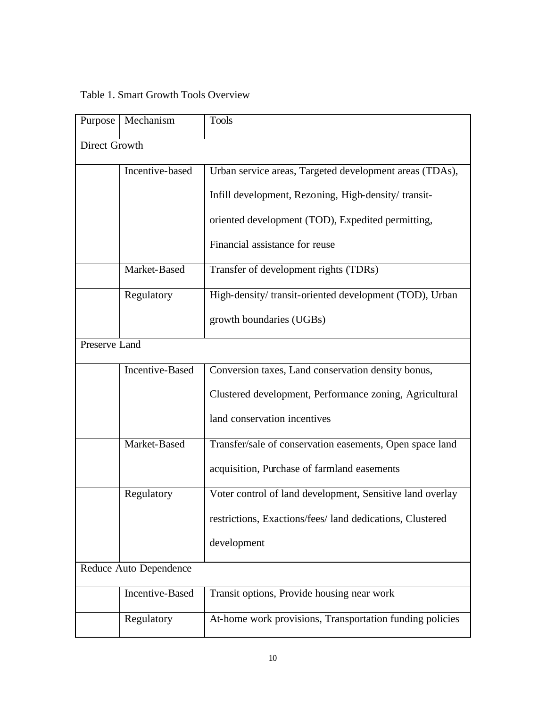# Table 1. Smart Growth Tools Overview

| Purpose                | Mechanism              | <b>Tools</b>                                              |  |
|------------------------|------------------------|-----------------------------------------------------------|--|
| Direct Growth          |                        |                                                           |  |
|                        | Incentive-based        | Urban service areas, Targeted development areas (TDAs),   |  |
|                        |                        | Infill development, Rezoning, High-density/transit-       |  |
|                        |                        | oriented development (TOD), Expedited permitting,         |  |
|                        |                        | Financial assistance for reuse                            |  |
|                        | Market-Based           | Transfer of development rights (TDRs)                     |  |
|                        | Regulatory             | High-density/transit-oriented development (TOD), Urban    |  |
|                        |                        | growth boundaries (UGBs)                                  |  |
| Preserve Land          |                        |                                                           |  |
|                        | <b>Incentive-Based</b> | Conversion taxes, Land conservation density bonus,        |  |
|                        |                        | Clustered development, Performance zoning, Agricultural   |  |
|                        |                        | land conservation incentives                              |  |
|                        | Market-Based           | Transfer/sale of conservation easements, Open space land  |  |
|                        |                        | acquisition, Purchase of farmland easements               |  |
|                        | Regulatory             | Voter control of land development, Sensitive land overlay |  |
|                        |                        | restrictions, Exactions/fees/ land dedications, Clustered |  |
|                        |                        | development                                               |  |
| Reduce Auto Dependence |                        |                                                           |  |
|                        | <b>Incentive-Based</b> | Transit options, Provide housing near work                |  |
|                        | Regulatory             | At-home work provisions, Transportation funding policies  |  |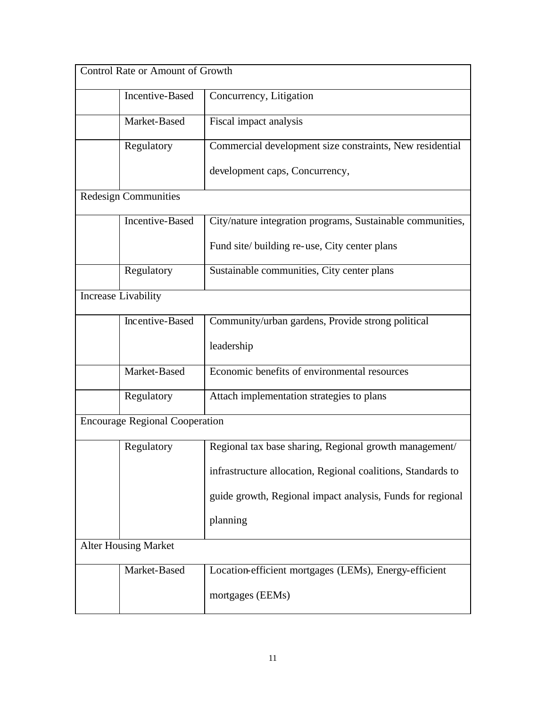| Control Rate or Amount of Growth      |                        |                                                              |  |  |
|---------------------------------------|------------------------|--------------------------------------------------------------|--|--|
|                                       | <b>Incentive-Based</b> | Concurrency, Litigation                                      |  |  |
|                                       | Market-Based           | Fiscal impact analysis                                       |  |  |
|                                       | Regulatory             | Commercial development size constraints, New residential     |  |  |
|                                       |                        | development caps, Concurrency,                               |  |  |
| <b>Redesign Communities</b>           |                        |                                                              |  |  |
|                                       | Incentive-Based        | City/nature integration programs, Sustainable communities,   |  |  |
|                                       |                        | Fund site/building re-use, City center plans                 |  |  |
|                                       | Regulatory             | Sustainable communities, City center plans                   |  |  |
| Increase Livability                   |                        |                                                              |  |  |
|                                       | Incentive-Based        | Community/urban gardens, Provide strong political            |  |  |
|                                       |                        | leadership                                                   |  |  |
|                                       | Market-Based           | Economic benefits of environmental resources                 |  |  |
|                                       | Regulatory             | Attach implementation strategies to plans                    |  |  |
| <b>Encourage Regional Cooperation</b> |                        |                                                              |  |  |
|                                       | Regulatory             | Regional tax base sharing, Regional growth management/       |  |  |
|                                       |                        | infrastructure allocation, Regional coalitions, Standards to |  |  |
|                                       |                        | guide growth, Regional impact analysis, Funds for regional   |  |  |
|                                       |                        | planning                                                     |  |  |
| <b>Alter Housing Market</b>           |                        |                                                              |  |  |
|                                       | Market-Based           | Location-efficient mortgages (LEMs), Energy-efficient        |  |  |
|                                       |                        | mortgages (EEMs)                                             |  |  |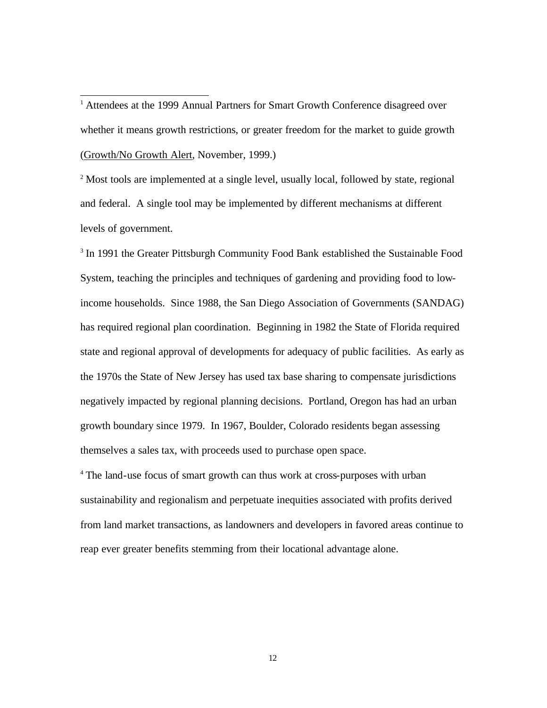<sup>1</sup> Attendees at the 1999 Annual Partners for Smart Growth Conference disagreed over whether it means growth restrictions, or greater freedom for the market to guide growth (Growth/No Growth Alert, November, 1999.)

l

<sup>2</sup> Most tools are implemented at a single level, usually local, followed by state, regional and federal. A single tool may be implemented by different mechanisms at different levels of government.

<sup>3</sup> In 1991 the Greater Pittsburgh Community Food Bank established the Sustainable Food System, teaching the principles and techniques of gardening and providing food to lowincome households. Since 1988, the San Diego Association of Governments (SANDAG) has required regional plan coordination. Beginning in 1982 the State of Florida required state and regional approval of developments for adequacy of public facilities. As early as the 1970s the State of New Jersey has used tax base sharing to compensate jurisdictions negatively impacted by regional planning decisions. Portland, Oregon has had an urban growth boundary since 1979. In 1967, Boulder, Colorado residents began assessing themselves a sales tax, with proceeds used to purchase open space.

<sup>4</sup> The land-use focus of smart growth can thus work at cross-purposes with urban sustainability and regionalism and perpetuate inequities associated with profits derived from land market transactions, as landowners and developers in favored areas continue to reap ever greater benefits stemming from their locational advantage alone.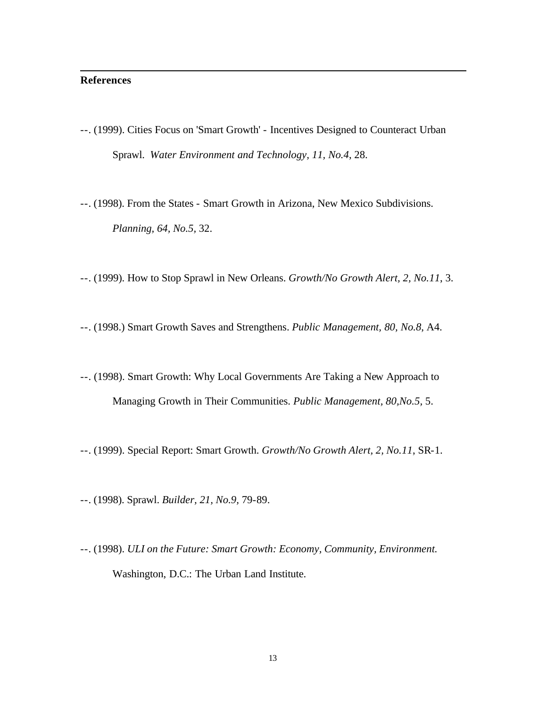# **References**

l

- --. (1999). Cities Focus on 'Smart Growth' Incentives Designed to Counteract Urban Sprawl. *Water Environment and Technology, 11, No.4*, 28.
- --. (1998). From the States Smart Growth in Arizona, New Mexico Subdivisions. *Planning, 64, No.5,* 32.
- --. (1999). How to Stop Sprawl in New Orleans. *Growth/No Growth Alert, 2, No.11*, 3.
- --. (1998.) Smart Growth Saves and Strengthens. *Public Management, 80, No.8*, A4.
- --. (1998). Smart Growth: Why Local Governments Are Taking a New Approach to Managing Growth in Their Communities. *Public Management, 80,No.5,* 5.
- --. (1999). Special Report: Smart Growth. *Growth/No Growth Alert, 2, No.11*, SR-1.
- --. (1998). Sprawl. *Builder, 21, No.9,* 79-89.
- --. (1998). *ULI on the Future: Smart Growth: Economy, Community, Environment.*  Washington, D.C.: The Urban Land Institute.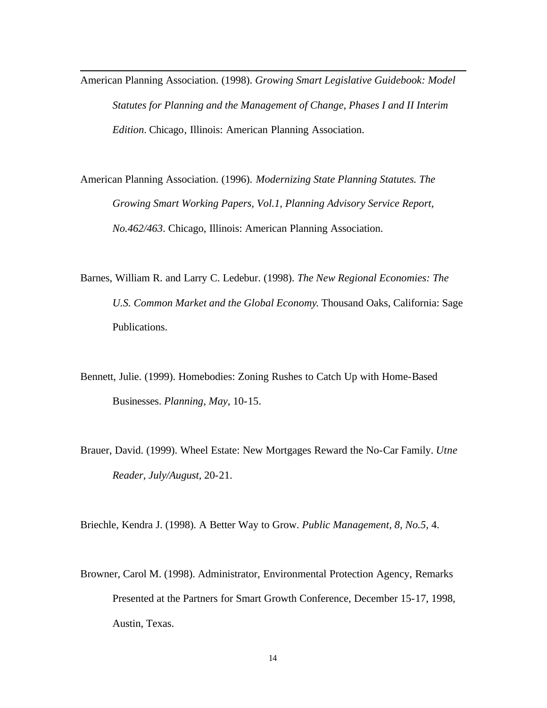American Planning Association. (1998). *Growing Smart Legislative Guidebook: Model Statutes for Planning and the Management of Change, Phases I and II Interim Edition*. Chicago, Illinois: American Planning Association.

l

American Planning Association. (1996). *Modernizing State Planning Statutes. The Growing Smart Working Papers, Vol.1, Planning Advisory Service Report, No.462/463*. Chicago, Illinois: American Planning Association.

Barnes, William R. and Larry C. Ledebur. (1998). *The New Regional Economies: The U.S. Common Market and the Global Economy*. Thousand Oaks, California: Sage Publications.

Bennett, Julie. (1999). Homebodies: Zoning Rushes to Catch Up with Home-Based Businesses. *Planning, May,* 10-15.

Brauer, David. (1999). Wheel Estate: New Mortgages Reward the No-Car Family. *Utne Reader, July/August,* 20-21.

Briechle, Kendra J. (1998). A Better Way to Grow. *Public Management, 8, No.5,* 4.

Browner, Carol M. (1998). Administrator, Environmental Protection Agency, Remarks Presented at the Partners for Smart Growth Conference, December 15-17, 1998, Austin, Texas.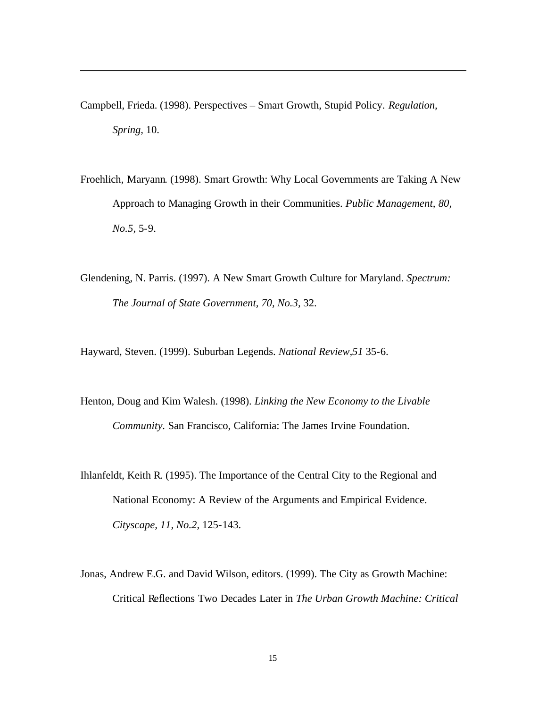Campbell, Frieda. (1998). Perspectives – Smart Growth, Stupid Policy. *Regulation, Spring,* 10.

l

- Froehlich, Maryann. (1998). Smart Growth: Why Local Governments are Taking A New Approach to Managing Growth in their Communities. *Public Management, 80, No.5,* 5-9.
- Glendening, N. Parris. (1997). A New Smart Growth Culture for Maryland. *Spectrum: The Journal of State Government, 70, No.3,* 32.

Hayward, Steven. (1999). Suburban Legends. *National Review,51* 35-6.

- Henton, Doug and Kim Walesh. (1998). *Linking the New Economy to the Livable Community.* San Francisco, California: The James Irvine Foundation.
- Ihlanfeldt, Keith R. (1995). The Importance of the Central City to the Regional and National Economy: A Review of the Arguments and Empirical Evidence. *Cityscape, 11, No.2,* 125-143.
- Jonas, Andrew E.G. and David Wilson, editors. (1999). The City as Growth Machine: Critical Reflections Two Decades Later in *The Urban Growth Machine: Critical*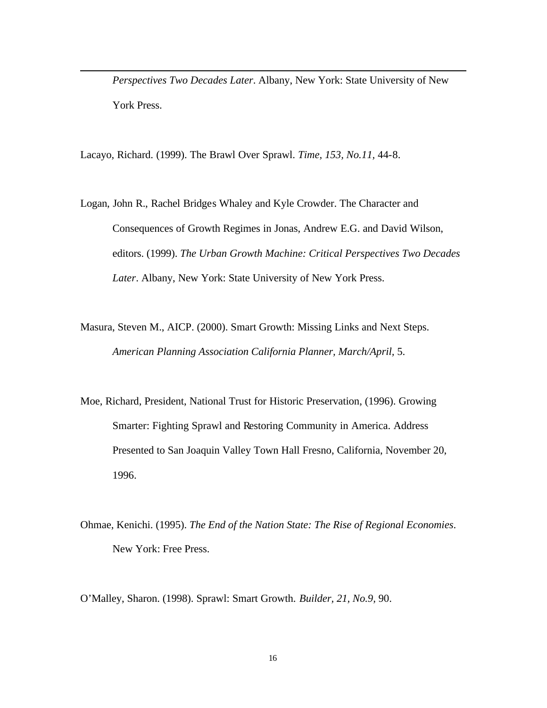*Perspectives Two Decades Later*. Albany, New York: State University of New York Press.

Lacayo, Richard. (1999). The Brawl Over Sprawl. *Time, 153, No.11,* 44-8.

l

- Logan, John R., Rachel Bridges Whaley and Kyle Crowder. The Character and Consequences of Growth Regimes in Jonas, Andrew E.G. and David Wilson, editors. (1999). *The Urban Growth Machine: Critical Perspectives Two Decades Later*. Albany, New York: State University of New York Press.
- Masura, Steven M., AICP. (2000). Smart Growth: Missing Links and Next Steps. *American Planning Association California Planner, March/April,* 5.
- Moe, Richard, President, National Trust for Historic Preservation, (1996). Growing Smarter: Fighting Sprawl and Restoring Community in America. Address Presented to San Joaquin Valley Town Hall Fresno, California, November 20, 1996.
- Ohmae, Kenichi. (1995). *The End of the Nation State: The Rise of Regional Economies*. New York: Free Press.

O'Malley, Sharon. (1998). Sprawl: Smart Growth. *Builder, 21, No.9,* 90.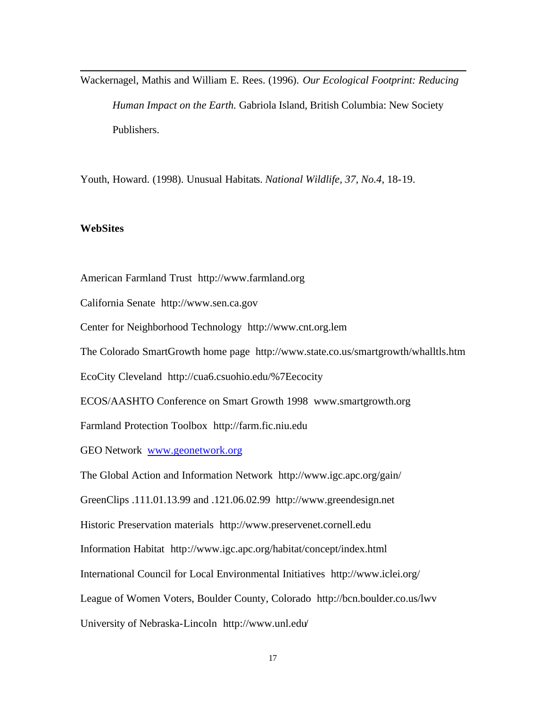Wackernagel, Mathis and William E. Rees. (1996). *Our Ecological Footprint: Reducing Human Impact on the Earth.* Gabriola Island, British Columbia: New Society Publishers.

Youth, Howard. (1998). Unusual Habitats. *National Wildlife, 37, No.4,* 18-19.

#### **WebSites**

l

American Farmland Trust http://www.farmland.org

California Senate http://www.sen.ca.gov

Center for Neighborhood Technology http://www.cnt.org.lem

The Colorado SmartGrowth home page http://www.state.co.us/smartgrowth/whalltls.htm

EcoCity Cleveland http://cua6.csuohio.edu/%7Eecocity

ECOS/AASHTO Conference on Smart Growth 1998 www.smartgrowth.org

Farmland Protection Toolbox http://farm.fic.niu.edu

GEO Network www.geonetwork.org

The Global Action and Information Network http://www.igc.apc.org/gain/

GreenClips .111.01.13.99 and .121.06.02.99 http://www.greendesign.net

Historic Preservation materials http://www.preservenet.cornell.edu

Information Habitat http://www.igc.apc.org/habitat/concept/index.html

International Council for Local Environmental Initiatives http://www.iclei.org/

League of Women Voters, Boulder County, Colorado http://bcn.boulder.co.us/lwv

University of Nebraska-Lincoln http://www.unl.edu/